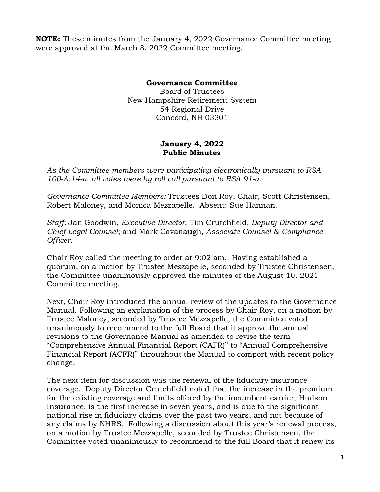**NOTE:** These minutes from the January 4, 2022 Governance Committee meeting were approved at the March 8, 2022 Committee meeting.

## **Governance Committee**

Board of Trustees New Hampshire Retirement System 54 Regional Drive Concord, NH 03301

## **January 4, 2022 Public Minutes**

*As the Committee members were participating electronically pursuant to RSA 100-A:14-a, all votes were by roll call pursuant to RSA 91-a.* 

*Governance Committee Members:* Trustees Don Roy, Chair, Scott Christensen, Robert Maloney, and Monica Mezzapelle. Absent: Sue Hannan.

*Staff:* Jan Goodwin, *Executive Director*; Tim Crutchfield*, Deputy Director and Chief Legal Counsel*; and Mark Cavanaugh*, Associate Counsel & Compliance Officer.* 

Chair Roy called the meeting to order at 9:02 am. Having established a quorum, on a motion by Trustee Mezzapelle, seconded by Trustee Christensen, the Committee unanimously approved the minutes of the August 10, 2021 Committee meeting.

Next, Chair Roy introduced the annual review of the updates to the Governance Manual. Following an explanation of the process by Chair Roy, on a motion by Trustee Maloney, seconded by Trustee Mezzapelle, the Committee voted unanimously to recommend to the full Board that it approve the annual revisions to the Governance Manual as amended to revise the term "Comprehensive Annual Financial Report (CAFR)" to "Annual Comprehensive Financial Report (ACFR)" throughout the Manual to comport with recent policy change.

The next item for discussion was the renewal of the fiduciary insurance coverage. Deputy Director Crutchfield noted that the increase in the premium for the existing coverage and limits offered by the incumbent carrier, Hudson Insurance, is the first increase in seven years, and is due to the significant national rise in fiduciary claims over the past two years, and not because of any claims by NHRS. Following a discussion about this year's renewal process, on a motion by Trustee Mezzapelle, seconded by Trustee Christensen, the Committee voted unanimously to recommend to the full Board that it renew its